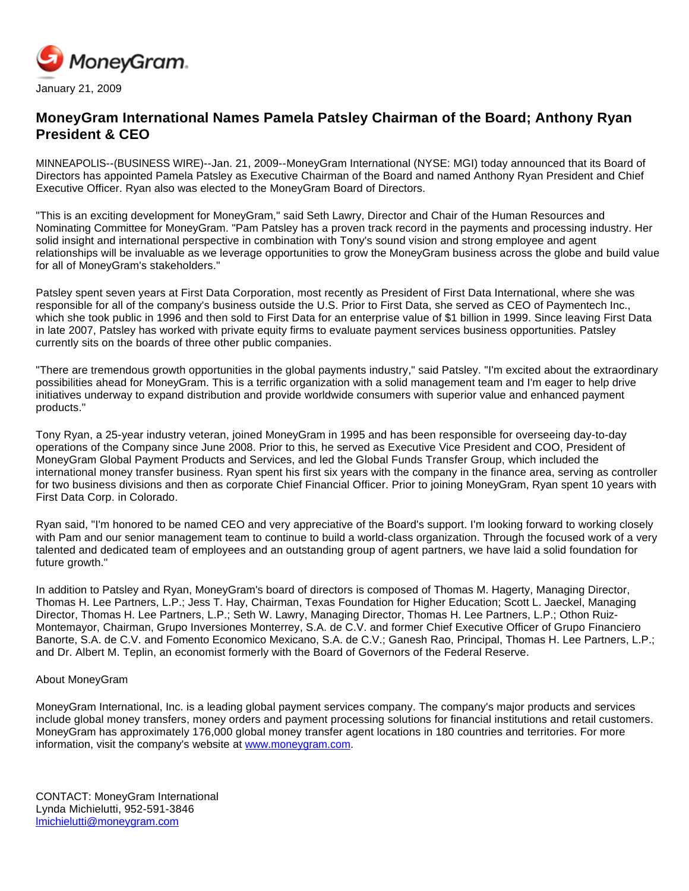

## **MoneyGram International Names Pamela Patsley Chairman of the Board; Anthony Ryan President & CEO**

MINNEAPOLIS--(BUSINESS WIRE)--Jan. 21, 2009--MoneyGram International (NYSE: MGI) today announced that its Board of Directors has appointed Pamela Patsley as Executive Chairman of the Board and named Anthony Ryan President and Chief Executive Officer. Ryan also was elected to the MoneyGram Board of Directors.

"This is an exciting development for MoneyGram," said Seth Lawry, Director and Chair of the Human Resources and Nominating Committee for MoneyGram. "Pam Patsley has a proven track record in the payments and processing industry. Her solid insight and international perspective in combination with Tony's sound vision and strong employee and agent relationships will be invaluable as we leverage opportunities to grow the MoneyGram business across the globe and build value for all of MoneyGram's stakeholders."

Patsley spent seven years at First Data Corporation, most recently as President of First Data International, where she was responsible for all of the company's business outside the U.S. Prior to First Data, she served as CEO of Paymentech Inc., which she took public in 1996 and then sold to First Data for an enterprise value of \$1 billion in 1999. Since leaving First Data in late 2007, Patsley has worked with private equity firms to evaluate payment services business opportunities. Patsley currently sits on the boards of three other public companies.

"There are tremendous growth opportunities in the global payments industry," said Patsley. "I'm excited about the extraordinary possibilities ahead for MoneyGram. This is a terrific organization with a solid management team and I'm eager to help drive initiatives underway to expand distribution and provide worldwide consumers with superior value and enhanced payment products."

Tony Ryan, a 25-year industry veteran, joined MoneyGram in 1995 and has been responsible for overseeing day-to-day operations of the Company since June 2008. Prior to this, he served as Executive Vice President and COO, President of MoneyGram Global Payment Products and Services, and led the Global Funds Transfer Group, which included the international money transfer business. Ryan spent his first six years with the company in the finance area, serving as controller for two business divisions and then as corporate Chief Financial Officer. Prior to joining MoneyGram, Ryan spent 10 years with First Data Corp. in Colorado.

Ryan said, "I'm honored to be named CEO and very appreciative of the Board's support. I'm looking forward to working closely with Pam and our senior management team to continue to build a world-class organization. Through the focused work of a very talented and dedicated team of employees and an outstanding group of agent partners, we have laid a solid foundation for future growth."

In addition to Patsley and Ryan, MoneyGram's board of directors is composed of Thomas M. Hagerty, Managing Director, Thomas H. Lee Partners, L.P.; Jess T. Hay, Chairman, Texas Foundation for Higher Education; Scott L. Jaeckel, Managing Director, Thomas H. Lee Partners, L.P.; Seth W. Lawry, Managing Director, Thomas H. Lee Partners, L.P.; Othon Ruiz-Montemayor, Chairman, Grupo Inversiones Monterrey, S.A. de C.V. and former Chief Executive Officer of Grupo Financiero Banorte, S.A. de C.V. and Fomento Economico Mexicano, S.A. de C.V.; Ganesh Rao, Principal, Thomas H. Lee Partners, L.P.; and Dr. Albert M. Teplin, an economist formerly with the Board of Governors of the Federal Reserve.

## About MoneyGram

MoneyGram International, Inc. is a leading global payment services company. The company's major products and services include global money transfers, money orders and payment processing solutions for financial institutions and retail customers. MoneyGram has approximately 176,000 global money transfer agent locations in 180 countries and territories. For more information, visit the company's website at [www.moneygram.com.](http://www.moneygram.com/)

CONTACT: MoneyGram International Lynda Michielutti, 952-591-3846 [lmichielutti@moneygram.com](mailto:lmichielutti@moneygram.com)